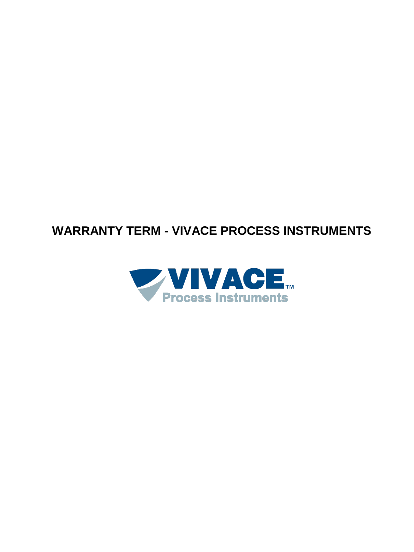# **WARRANTY TERM - VIVACE PROCESS INSTRUMENTS**

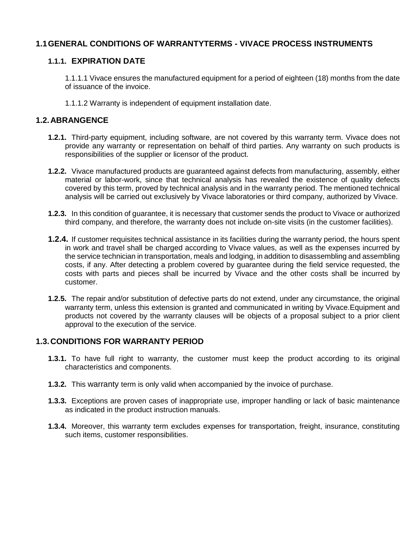## **1.1GENERAL CONDITIONS OF WARRANTYTERMS - VIVACE PROCESS INSTRUMENTS**

## **1.1.1. EXPIRATION DATE**

1.1.1.1 Vivace ensures the manufactured equipment for a period of eighteen (18) months from the date of issuance of the invoice.

1.1.1.2 Warranty is independent of equipment installation date.

#### **1.2.ABRANGENCE**

- **1.2.1.** Third-party equipment, including software, are not covered by this warranty term. Vivace does not provide any warranty or representation on behalf of third parties. Any warranty on such products is responsibilities of the supplier or licensor of the product.
- **1.2.2.** Vivace manufactured products are guaranteed against defects from manufacturing, assembly, either material or labor-work, since that technical analysis has revealed the existence of quality defects covered by this term, proved by technical analysis and in the warranty period. The mentioned technical analysis will be carried out exclusively by Vivace laboratories or third company, authorized by Vivace.
- **1.2.3.** In this condition of guarantee, it is necessary that customer sends the product to Vivace or authorized third company, and therefore, the warranty does not include on-site visits (in the customer facilities).
- **1.2.4.** If customer requisites technical assistance in its facilities during the warranty period, the hours spent in work and travel shall be charged according to Vivace values, as well as the expenses incurred by the service technician in transportation, meals and lodging, in addition to disassembling and assembling costs, if any. After detecting a problem covered by guarantee during the field service requested, the costs with parts and pieces shall be incurred by Vivace and the other costs shall be incurred by customer.
- **1.2.5.** The repair and/or substitution of defective parts do not extend, under any circumstance, the original warranty term, unless this extension is granted and communicated in writing by Vivace.Equipment and products not covered by the warranty clauses will be objects of a proposal subject to a prior client approval to the execution of the service.

#### **1.3.CONDITIONS FOR WARRANTY PERIOD**

- **1.3.1.** To have full right to warranty, the customer must keep the product according to its original characteristics and components.
- **1.3.2.** This warranty term is only valid when accompanied by the invoice of purchase.
- **1.3.3.** Exceptions are proven cases of inappropriate use, improper handling or lack of basic maintenance as indicated in the product instruction manuals.
- **1.3.4.** Moreover, this warranty term excludes expenses for transportation, freight, insurance, constituting such items, customer responsibilities.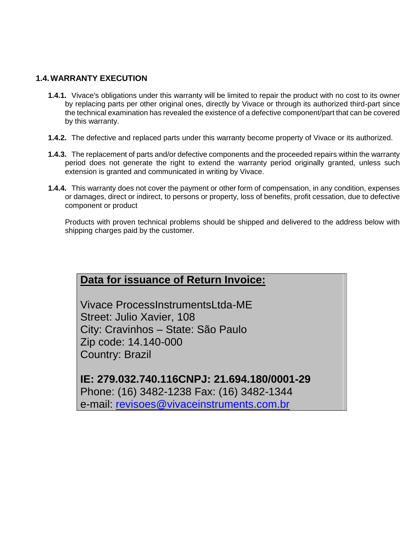# **1.4.WARRANTY EXECUTION**

- **1.4.1.** Vivace's obligations under this warranty will be limited to repair the product with no cost to its owner by replacing parts per other original ones, directly by Vivace or through its authorized third-part since the technical examination has revealed the existence of a defective component/part that can be covered by this warranty.
- **1.4.2.** The defective and replaced parts under this warranty become property of Vivace or its authorized.
- **1.4.3.** The replacement of parts and/or defective components and the proceeded repairs within the warranty period does not generate the right to extend the warranty period originally granted, unless such extension is granted and communicated in writing by Vivace.
- **1.4.4.** This warranty does not cover the payment or other form of compensation, in any condition, expenses or damages, direct or indirect, to persons or property, loss of benefits, profit cessation, due to defective component or product

Products with proven technical problems should be shipped and delivered to the address below with shipping charges paid by the customer.

# **Data for issuance of Return Invoice:**

Vivace ProcessInstrumentsLtda-ME Street: Julio Xavier, 108 City: Cravinhos – State: São Paulo Zip code: 14.140-000 Country: Brazil

**IE: 279.032.740.116CNPJ: 21.694.180/0001-29** Phone: (16) 3482-1238 Fax: (16) 3482-1344 e-mail: [revisoes@vivaceinstruments.com.br](mailto:revisoes@vivaceinstruments.com.br)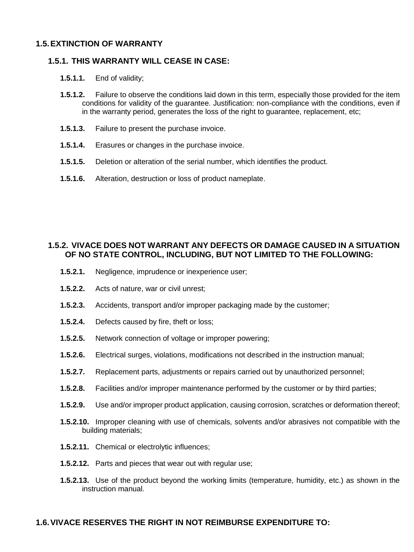#### **1.5.EXTINCTION OF WARRANTY**

#### **1.5.1. THIS WARRANTY WILL CEASE IN CASE:**

#### **1.5.1.1.** End of validity;

- **1.5.1.2.** Failure to observe the conditions laid down in this term, especially those provided for the item conditions for validity of the guarantee. Justification: non-compliance with the conditions, even if in the warranty period, generates the loss of the right to guarantee, replacement, etc;
- **1.5.1.3.** Failure to present the purchase invoice.
- **1.5.1.4.** Erasures or changes in the purchase invoice.
- **1.5.1.5.** Deletion or alteration of the serial number, which identifies the product.
- **1.5.1.6.** Alteration, destruction or loss of product nameplate.

# **1.5.2. VIVACE DOES NOT WARRANT ANY DEFECTS OR DAMAGE CAUSED IN A SITUATION OF NO STATE CONTROL, INCLUDING, BUT NOT LIMITED TO THE FOLLOWING:**

- **1.5.2.1.** Negligence, imprudence or inexperience user;
- **1.5.2.2.** Acts of nature, war or civil unrest;
- **1.5.2.3.** Accidents, transport and/or improper packaging made by the customer;
- **1.5.2.4.** Defects caused by fire, theft or loss;
- **1.5.2.5.** Network connection of voltage or improper powering;
- **1.5.2.6.** Electrical surges, violations, modifications not described in the instruction manual;
- **1.5.2.7.** Replacement parts, adjustments or repairs carried out by unauthorized personnel;
- **1.5.2.8.** Facilities and/or improper maintenance performed by the customer or by third parties;
- **1.5.2.9.** Use and/or improper product application, causing corrosion, scratches or deformation thereof;
- **1.5.2.10.** Improper cleaning with use of chemicals, solvents and/or abrasives not compatible with the building materials;
- **1.5.2.11.** Chemical or electrolytic influences;
- **1.5.2.12.** Parts and pieces that wear out with regular use;
- **1.5.2.13.** Use of the product beyond the working limits (temperature, humidity, etc.) as shown in the instruction manual.

## **1.6.VIVACE RESERVES THE RIGHT IN NOT REIMBURSE EXPENDITURE TO:**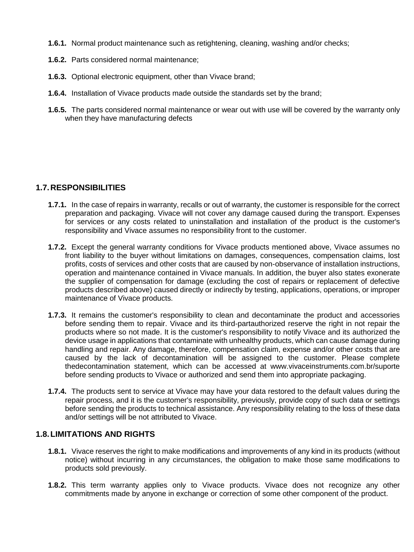- **1.6.1.** Normal product maintenance such as retightening, cleaning, washing and/or checks;
- **1.6.2.** Parts considered normal maintenance;
- **1.6.3.** Optional electronic equipment, other than Vivace brand;
- **1.6.4.** Installation of Vivace products made outside the standards set by the brand;
- **1.6.5.** The parts considered normal maintenance or wear out with use will be covered by the warranty only when they have manufacturing defects

# **1.7.RESPONSIBILITIES**

- **1.7.1.** In the case of repairs in warranty, recalls or out of warranty, the customer is responsible for the correct preparation and packaging. Vivace will not cover any damage caused during the transport. Expenses for services or any costs related to uninstallation and installation of the product is the customer's responsibility and Vivace assumes no responsibility front to the customer.
- **1.7.2.** Except the general warranty conditions for Vivace products mentioned above, Vivace assumes no front liability to the buyer without limitations on damages, consequences, compensation claims, lost profits, costs of services and other costs that are caused by non-observance of installation instructions, operation and maintenance contained in Vivace manuals. In addition, the buyer also states exonerate the supplier of compensation for damage (excluding the cost of repairs or replacement of defective products described above) caused directly or indirectly by testing, applications, operations, or improper maintenance of Vivace products.
- **1.7.3.** It remains the customer's responsibility to clean and decontaminate the product and accessories before sending them to repair. Vivace and its third-partauthorized reserve the right in not repair the products where so not made. It is the customer's responsibility to notify Vivace and its authorized the device usage in applications that contaminate with unhealthy products, which can cause damage during handling and repair. Any damage, therefore, compensation claim, expense and/or other costs that are caused by the lack of decontamination will be assigned to the customer. Please complete thedecontamination statement, which can be accessed at www.vivaceinstruments.com.br/suporte before sending products to Vivace or authorized and send them into appropriate packaging.
- **1.7.4.** The products sent to service at Vivace may have your data restored to the default values during the repair process, and it is the customer's responsibility, previously, provide copy of such data or settings before sending the products to technical assistance. Any responsibility relating to the loss of these data and/or settings will be not attributed to Vivace.

# **1.8.LIMITATIONS AND RIGHTS**

- **1.8.1.** Vivace reserves the right to make modifications and improvements of any kind in its products (without notice) without incurring in any circumstances, the obligation to make those same modifications to products sold previously.
- **1.8.2.** This term warranty applies only to Vivace products. Vivace does not recognize any other commitments made by anyone in exchange or correction of some other component of the product.